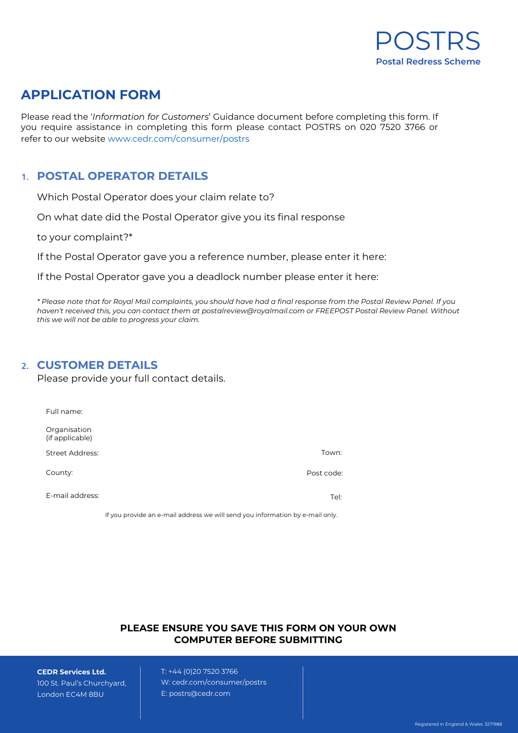

# **APPLICATION FORM**

Please read the '*Information for Customers*' Guidance document before completing this form. If you require assistance in completing this form please contact POSTRS on 020 7520 3766 or refer to our website www.cedr.com/consumer/postrs

## **1. POSTAL OPERATOR DETAILS**

Which Postal Operator does your claim relate to?

On what date did the Postal Operator give you its final response

to your complaint?\*

If the Postal Operator gave you a reference number, please enter it here:

If the Postal Operator gave you a deadlock number please enter it here:

*\* Please note that for Royal Mail complaints, you should have had a final response from the Postal Review Panel. If you haven't received this, you can contact them at [postalreview@royalmail.com o](mailto:postalreview@royalmail.com)r FREEPOST Postal Review Panel. Without this we will not be able to progress your claim.*

### **2. CUSTOMER DETAILS**

Please provide your full contact details.

| Full name:                      |            |
|---------------------------------|------------|
| Organisation<br>(if applicable) |            |
| <b>Street Address:</b>          | Town:      |
| County:                         | Post code: |
| E-mail address:                 | Tel:       |

If you provide an e-mail address we will send you information by e-mail only.

#### **PLEASE ENSURE YOU SAVE THIS FORM ON YOUR OWN COMPUTER BEFORE SUBMITTING**

**CEDR Services Ltd.** 100 St. Paul's Churchyard, London EC4M 8BU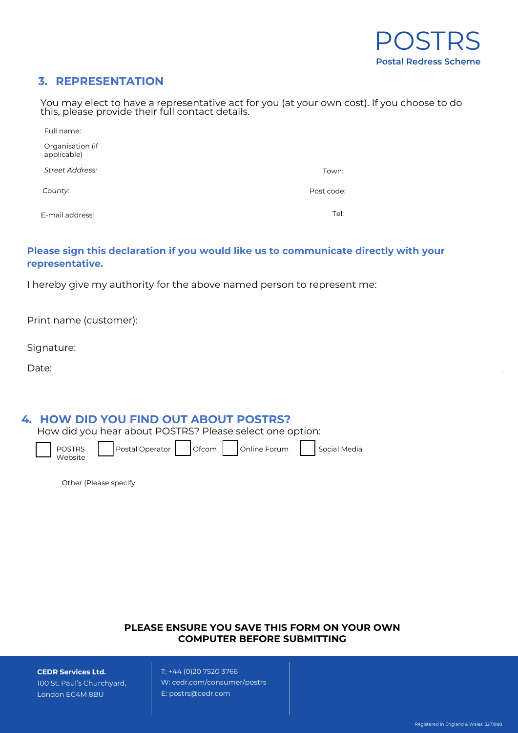## **3. REPRESENTATION**

You may elect to have a representative act for you (at your own cost). If you choose to do this, please provide their full contact details.

| Full name:                                   |            |
|----------------------------------------------|------------|
| Organisation (if<br>applicable)<br>$\bullet$ |            |
| <b>Street Address:</b>                       | Town:      |
| County:                                      | Post code: |
| E-mail address:                              | Tel:       |

### **Please sign this declaration if you would like us to communicate directly with your representative.**

I hereby give my authority for the above named person to represent me:

Print name (customer):

Signature:

Date:

### **4. HOW DID YOU FIND OUT ABOUT POSTRS?**

How did you hear about POSTRS? Please select one option:

POSTRS Website

| $\text{total Operator}$ |
|-------------------------|
|-------------------------|

Postal Operator | Ofcom | Online Forum | Social Media

Other (Please specify

#### **PLEASE ENSURE YOU SAVE THIS FORM ON YOUR OWN COMPUTER BEFORE SUBMITTING**

**CEDR Services Ltd.**

100 St. Paul's Churchyard, London EC4M 8BU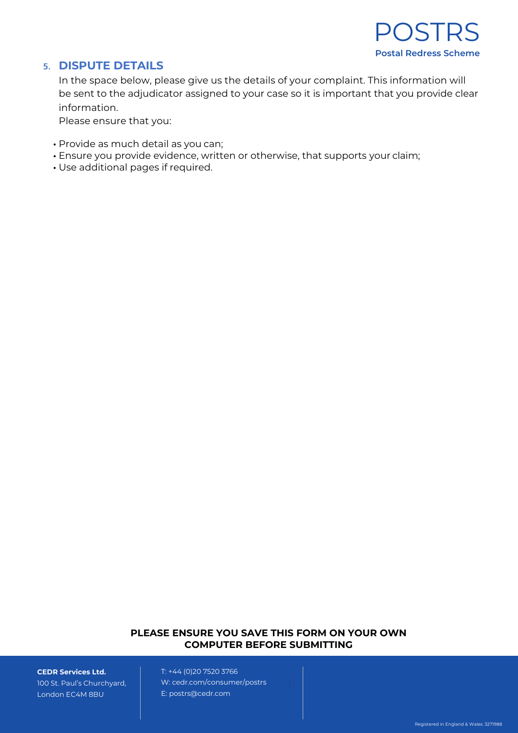

### **5. DISPUTE DETAILS**

In the space below, please give us the details of your complaint. This information will be sent to the adjudicator assigned to your case so it is important that you provide clear information.

Please ensure that you:

- Provide as much detail as you can;
- Ensure you provide evidence, written or otherwise, that supports your claim;
- Use additional pages if required.

#### **PLEASE ENSURE YOU SAVE THIS FORM ON YOUR OWN COMPUTER BEFORE SUBMITTING**

**CEDR Services Ltd.**

100 St. Paul's Churchyard, London EC4M 8BU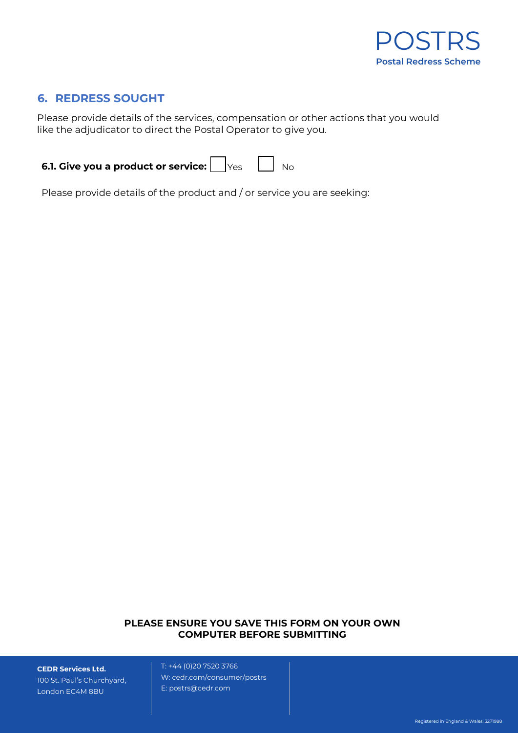

# **6. REDRESS SOUGHT**

Please provide details of the services, compensation or other actions that you would like the adjudicator to direct the Postal Operator to give you.

| <b>6.1. Give you a product or service:</b> $\bigcup_{Y \in S} \bigcup_{N \in \mathbb{N}} N_{0}$ |  |  |  |  |
|-------------------------------------------------------------------------------------------------|--|--|--|--|
|-------------------------------------------------------------------------------------------------|--|--|--|--|

Please provide details of the product and / or service you are seeking:

#### **PLEASE ENSURE YOU SAVE THIS FORM ON YOUR OWN COMPUTER BEFORE SUBMITTING**

**CEDR Services Ltd.** 100 St. Paul's Churchyard, London EC4M 8BU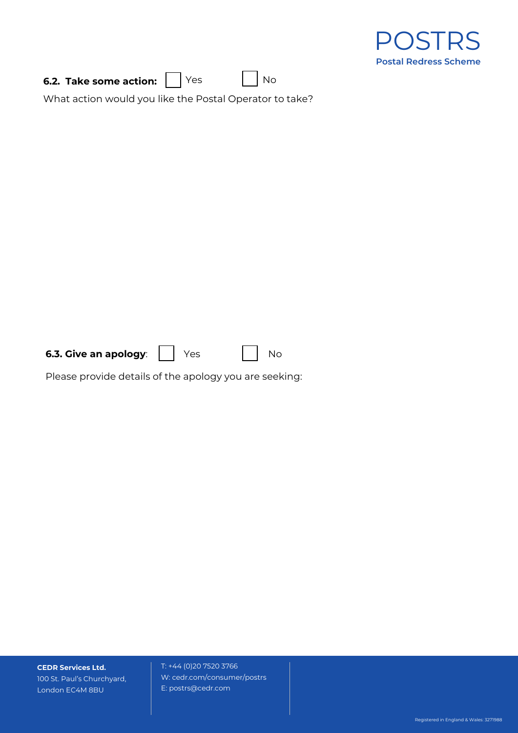|                                                         | OSTRS<br><b>Postal Redress Scheme</b> |
|---------------------------------------------------------|---------------------------------------|
| Yes<br>No<br>6.2. Take some action:                     |                                       |
| What action would you like the Postal Operator to take? |                                       |
|                                                         |                                       |
|                                                         |                                       |
|                                                         |                                       |
|                                                         |                                       |
|                                                         |                                       |
|                                                         |                                       |
|                                                         |                                       |
|                                                         |                                       |
|                                                         |                                       |
|                                                         |                                       |
|                                                         |                                       |
| 6.3. Give an apology:<br>Yes<br><b>No</b>               |                                       |
| Please provide details of the apology you are seeking:  |                                       |
|                                                         |                                       |

**CEDR Services Ltd.** 100 St. Paul's Churchyard, London EC4M 8BU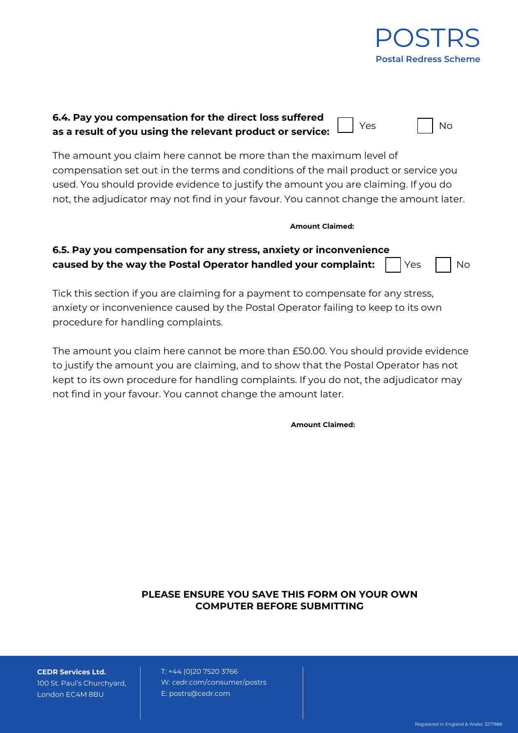

| 6.4. Pay you compensation for the direct loss suffered |  |
|--------------------------------------------------------|--|
|                                                        |  |

The amount you claim here cannot be more than the maximum level of compensation set out in the terms and conditions of the mail product or service you used. You should provide evidence to justify the amount you are claiming. If you do not, the adjudicator may not find in your favour. You cannot change the amount later.

#### **Amount Claimed:**

# **6.5. Pay you compensation for any stress, anxiety or inconvenience caused by the way the Postal Operator handled your complaint:**  $\begin{bmatrix} \end{bmatrix} Y$ es  $\begin{bmatrix} \end{bmatrix} N$ o

Tick this section if you are claiming for a payment to compensate for any stress, anxiety or inconvenience caused by the Postal Operator failing to keep to its own procedure for handling complaints.

The amount you claim here cannot be more than £50.00. You should provide evidence to justify the amount you are claiming, and to show that the Postal Operator has not kept to its own procedure for handling complaints. If you do not, the adjudicator may not find in your favour. You cannot change the amount later.

**Amount Claimed:**

### **PLEASE ENSURE YOU SAVE THIS FORM ON YOUR OWN COMPUTER BEFORE SUBMITTING**

**CEDR Services Ltd.** 100 St. Paul's Churchyard, London EC4M 8BU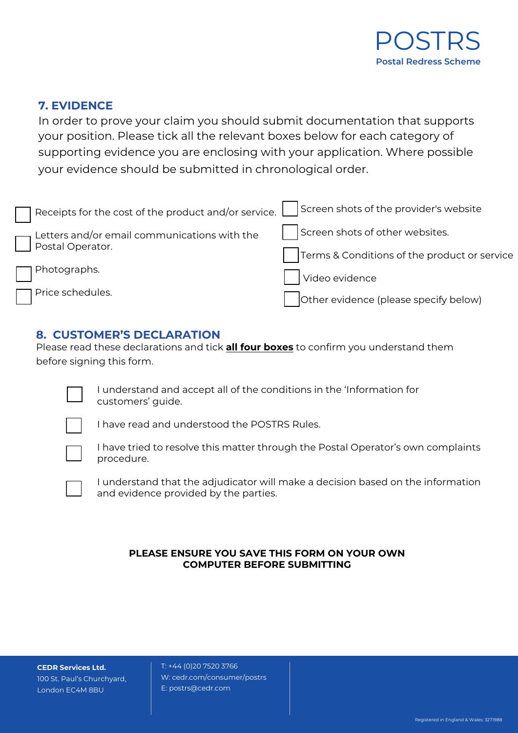

# **7. EVIDENCE**

In order to prove your claim you should submit documentation that supports your position. Please tick all the relevant boxes below for each category of supporting evidence you are enclosing with your application. Where possible your evidence should be submitted in chronological order.

| Receipts for the cost of the product and/or service. | Screen shots of the provider's website       |
|------------------------------------------------------|----------------------------------------------|
| Letters and/or email communications with the         | Screen shots of other websites.              |
| Postal Operator.                                     | Terms & Conditions of the product or service |
| Photographs.                                         | Video evidence                               |
| Price schedules.                                     | Other evidence (please specify below)        |

# **8. CUSTOMER'S DECLARATION**

Please read these declarations and tick **all four boxes** to confirm you understand them before signing this form.



I understand and accept all of the conditions in the 'Information for customers' guide.



I have read and understood the POSTRS Rules.



I have tried to resolve this matter through the Postal Operator's own complaints procedure.



I understand that the adjudicator will make a decision based on the information and evidence provided by the parties.

### **PLEASE ENSURE YOU SAVE THIS FORM ON YOUR OWN COMPUTER BEFORE SUBMITTING**

**CEDR Services Ltd.** 100 St. Paul's Churchyard, London EC4M 8BU